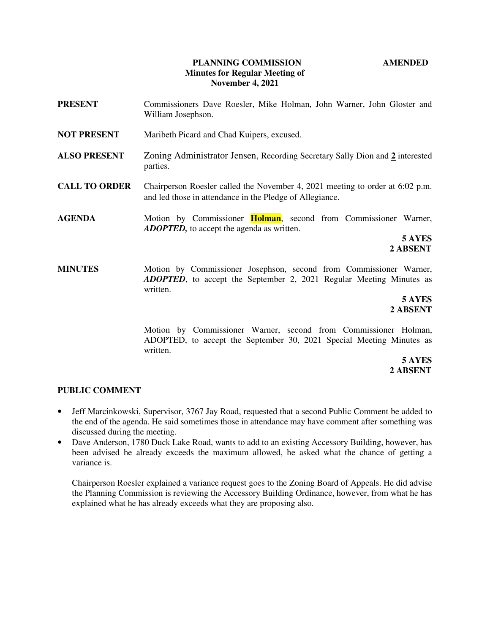## **PLANNING COMMISSION AMENDED Minutes for Regular Meeting of November 4, 2021**

- **PRESENT** Commissioners Dave Roesler, Mike Holman, John Warner, John Gloster and William Josephson.
- **NOT PRESENT** Maribeth Picard and Chad Kuipers, excused.
- **ALSO PRESENT** Zoning Administrator Jensen, Recording Secretary Sally Dion and **2** interested parties.
- **CALL TO ORDER** Chairperson Roesler called the November 4, 2021 meeting to order at 6:02 p.m. and led those in attendance in the Pledge of Allegiance.
- **AGENDA** Motion by Commissioner **Holman**, second from Commissioner Warner, *ADOPTED,* to accept the agenda as written.

**5 AYES 2 ABSENT**

**MINUTES** Motion by Commissioner Josephson, second from Commissioner Warner, *ADOPTED*, to accept the September 2, 2021 Regular Meeting Minutes as written.

> **5 AYES 2 ABSENT**

> > Motion by Commissioner Warner, second from Commissioner Holman, ADOPTED, to accept the September 30, 2021 Special Meeting Minutes as written.

**5 AYES 2 ABSENT** 

#### **PUBLIC COMMENT**

- Jeff Marcinkowski, Supervisor, 3767 Jay Road, requested that a second Public Comment be added to the end of the agenda. He said sometimes those in attendance may have comment after something was discussed during the meeting.
- Dave Anderson, 1780 Duck Lake Road, wants to add to an existing Accessory Building, however, has been advised he already exceeds the maximum allowed, he asked what the chance of getting a variance is.

Chairperson Roesler explained a variance request goes to the Zoning Board of Appeals. He did advise the Planning Commission is reviewing the Accessory Building Ordinance, however, from what he has explained what he has already exceeds what they are proposing also.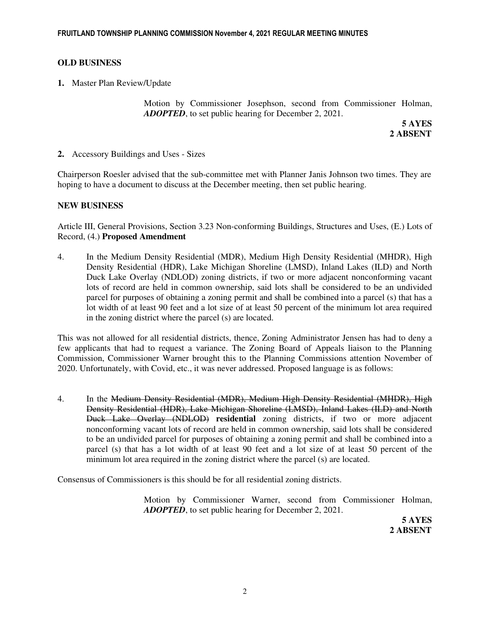# **OLD BUSINESS**

**1.** Master Plan Review/Update

Motion by Commissioner Josephson, second from Commissioner Holman, *ADOPTED*, to set public hearing for December 2, 2021.

 **5 AYES 2 ABSENT** 

**2.** Accessory Buildings and Uses - Sizes

Chairperson Roesler advised that the sub-committee met with Planner Janis Johnson two times. They are hoping to have a document to discuss at the December meeting, then set public hearing.

# **NEW BUSINESS**

Article III, General Provisions, Section 3.23 Non-conforming Buildings, Structures and Uses, (E.) Lots of Record, (4.) **Proposed Amendment** 

4. In the Medium Density Residential (MDR), Medium High Density Residential (MHDR), High Density Residential (HDR), Lake Michigan Shoreline (LMSD), Inland Lakes (ILD) and North Duck Lake Overlay (NDLOD) zoning districts, if two or more adjacent nonconforming vacant lots of record are held in common ownership, said lots shall be considered to be an undivided parcel for purposes of obtaining a zoning permit and shall be combined into a parcel (s) that has a lot width of at least 90 feet and a lot size of at least 50 percent of the minimum lot area required in the zoning district where the parcel (s) are located.

This was not allowed for all residential districts, thence, Zoning Administrator Jensen has had to deny a few applicants that had to request a variance. The Zoning Board of Appeals liaison to the Planning Commission, Commissioner Warner brought this to the Planning Commissions attention November of 2020. Unfortunately, with Covid, etc., it was never addressed. Proposed language is as follows:

4. In the Medium Density Residential (MDR), Medium High Density Residential (MHDR), High Density Residential (HDR), Lake Michigan Shoreline (LMSD), Inland Lakes (ILD) and North Duck Lake Overlay (NDLOD) **residential** zoning districts, if two or more adjacent nonconforming vacant lots of record are held in common ownership, said lots shall be considered to be an undivided parcel for purposes of obtaining a zoning permit and shall be combined into a parcel (s) that has a lot width of at least 90 feet and a lot size of at least 50 percent of the minimum lot area required in the zoning district where the parcel (s) are located.

Consensus of Commissioners is this should be for all residential zoning districts.

Motion by Commissioner Warner, second from Commissioner Holman, *ADOPTED*, to set public hearing for December 2, 2021.

**5 AYES 2 ABSENT**